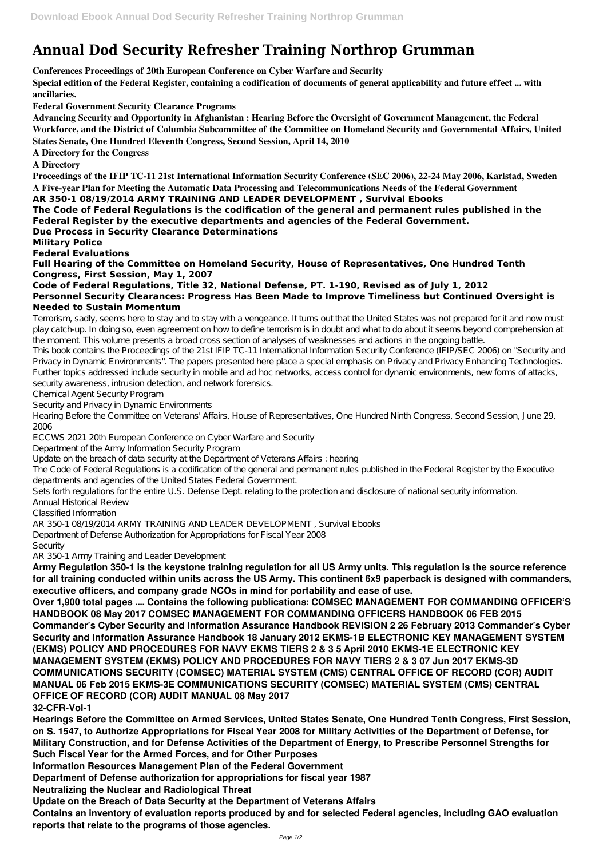## **Annual Dod Security Refresher Training Northrop Grumman**

**Conferences Proceedings of 20th European Conference on Cyber Warfare and Security**

**Special edition of the Federal Register, containing a codification of documents of general applicability and future effect ... with ancillaries.**

**Federal Government Security Clearance Programs**

**Advancing Security and Opportunity in Afghanistan : Hearing Before the Oversight of Government Management, the Federal Workforce, and the District of Columbia Subcommittee of the Committee on Homeland Security and Governmental Affairs, United States Senate, One Hundred Eleventh Congress, Second Session, April 14, 2010**

**A Directory for the Congress**

**A Directory**

**Proceedings of the IFIP TC-11 21st International Information Security Conference (SEC 2006), 22-24 May 2006, Karlstad, Sweden A Five-year Plan for Meeting the Automatic Data Processing and Telecommunications Needs of the Federal Government**

**AR 350-1 08/19/2014 ARMY TRAINING AND LEADER DEVELOPMENT , Survival Ebooks The Code of Federal Regulations is the codification of the general and permanent rules published in the Federal Register by the executive departments and agencies of the Federal Government.**

**Due Process in Security Clearance Determinations**

**Military Police**

**Federal Evaluations**

**Full Hearing of the Committee on Homeland Security, House of Representatives, One Hundred Tenth Congress, First Session, May 1, 2007**

**Code of Federal Regulations, Title 32, National Defense, PT. 1-190, Revised as of July 1, 2012 Personnel Security Clearances: Progress Has Been Made to Improve Timeliness but Continued Oversight is Needed to Sustain Momentum**

Terrorism, sadly, seems here to stay and to stay with a vengeance. It turns out that the United States was not prepared for it and now must play catch-up. In doing so, even agreement on how to define terrorism is in doubt and what to do about it seems beyond comprehension at the moment. This volume presents a broad cross section of analyses of weaknesses and actions in the ongoing battle.

This book contains the Proceedings of the 21st IFIP TC-11 International Information Security Conference (IFIP/SEC 2006) on "Security and Privacy in Dynamic Environments". The papers presented here place a special emphasis on Privacy and Privacy Enhancing Technologies. Further topics addressed include security in mobile and ad hoc networks, access control for dynamic environments, new forms of attacks, security awareness, intrusion detection, and network forensics.

Chemical Agent Security Program

Security and Privacy in Dynamic Environments

Hearing Before the Committee on Veterans' Affairs, House of Representatives, One Hundred Ninth Congress, Second Session, June 29, 2006

ECCWS 2021 20th European Conference on Cyber Warfare and Security

Department of the Army Information Security Program

Update on the breach of data security at the Department of Veterans Affairs : hearing

The Code of Federal Regulations is a codification of the general and permanent rules published in the Federal Register by the Executive departments and agencies of the United States Federal Government.

Sets forth regulations for the entire U.S. Defense Dept. relating to the protection and disclosure of national security information.

Annual Historical Review

Classified Information

AR 350-1 08/19/2014 ARMY TRAINING AND LEADER DEVELOPMENT , Survival Ebooks

Department of Defense Authorization for Appropriations for Fiscal Year 2008

Security

AR 350-1 Army Training and Leader Development

**Army Regulation 350-1 is the keystone training regulation for all US Army units. This regulation is the source reference for all training conducted within units across the US Army. This continent 6x9 paperback is designed with commanders, executive officers, and company grade NCOs in mind for portability and ease of use.**

**Over 1,900 total pages .... Contains the following publications: COMSEC MANAGEMENT FOR COMMANDING OFFICER'S HANDBOOK 08 May 2017 COMSEC MANAGEMENT FOR COMMANDING OFFICERS HANDBOOK 06 FEB 2015 Commander's Cyber Security and Information Assurance Handbook REVISION 2 26 February 2013 Commander's Cyber Security and Information Assurance Handbook 18 January 2012 EKMS-1B ELECTRONIC KEY MANAGEMENT SYSTEM (EKMS) POLICY AND PROCEDURES FOR NAVY EKMS TIERS 2 & 3 5 April 2010 EKMS-1E ELECTRONIC KEY MANAGEMENT SYSTEM (EKMS) POLICY AND PROCEDURES FOR NAVY TIERS 2 & 3 07 Jun 2017 EKMS-3D COMMUNICATIONS SECURITY (COMSEC) MATERIAL SYSTEM (CMS) CENTRAL OFFICE OF RECORD (COR) AUDIT MANUAL 06 Feb 2015 EKMS-3E COMMUNICATIONS SECURITY (COMSEC) MATERIAL SYSTEM (CMS) CENTRAL OFFICE OF RECORD (COR) AUDIT MANUAL 08 May 2017 32-CFR-Vol-1 Hearings Before the Committee on Armed Services, United States Senate, One Hundred Tenth Congress, First Session, on S. 1547, to Authorize Appropriations for Fiscal Year 2008 for Military Activities of the Department of Defense, for Military Construction, and for Defense Activities of the Department of Energy, to Prescribe Personnel Strengths for Such Fiscal Year for the Armed Forces, and for Other Purposes Information Resources Management Plan of the Federal Government Department of Defense authorization for appropriations for fiscal year 1987 Neutralizing the Nuclear and Radiological Threat Update on the Breach of Data Security at the Department of Veterans Affairs Contains an inventory of evaluation reports produced by and for selected Federal agencies, including GAO evaluation reports that relate to the programs of those agencies.**